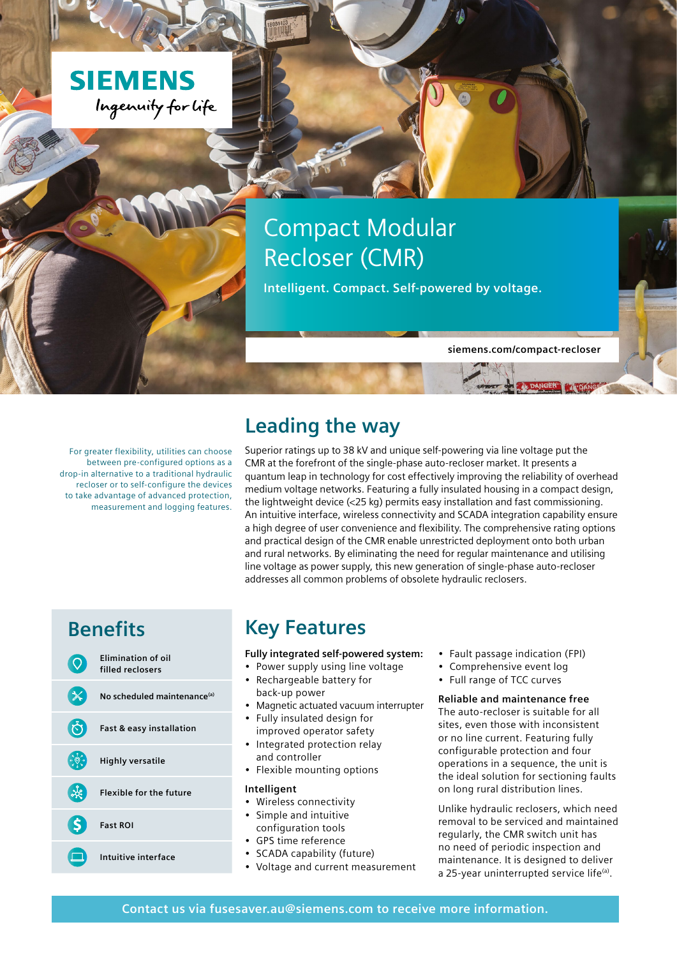

# Compact Modular Recloser (CMR)

**Intelligent. Compact. Self-powered by voltage.**

**[siemens.com/compact-recloser](http://siemens.com/compact-recloser)**

For greater flexibility, utilities can choose between pre-configured options as a drop-in alternative to a traditional hydraulic recloser or to self-configure the devices to take advantage of advanced protection, measurement and logging features.

### **Leading the way**

Superior ratings up to 38 kV and unique self-powering via line voltage put the CMR at the forefront of the single-phase auto-recloser market. It presents a quantum leap in technology for cost effectively improving the reliability of overhead medium voltage networks. Featuring a fully insulated housing in a compact design, the lightweight device (<25 kg) permits easy installation and fast commissioning. An intuitive interface, wireless connectivity and SCADA integration capability ensure a high degree of user convenience and flexibility. The comprehensive rating options and practical design of the CMR enable unrestricted deployment onto both urban and rural networks. By eliminating the need for regular maintenance and utilising line voltage as power supply, this new generation of single-phase auto-recloser addresses all common problems of obsolete hydraulic reclosers.



### **Benefits Key Features**

#### **Fully integrated self-powered system:**

- Power supply using line voltage • Rechargeable battery for
- back-up power
- Magnetic actuated vacuum interrupter
- Fully insulated design for improved operator safety
- Integrated protection relay and controller
- Flexible mounting options

### **Intelligent**

- Wireless connectivity
- Simple and intuitive
- configuration tools
- GPS time reference
- SCADA capability (future)
- Voltage and current measurement
- Fault passage indication (FPI)
- Comprehensive event log
- Full range of TCC curves

### **Reliable and maintenance free**

The auto-recloser is suitable for all sites, even those with inconsistent or no line current. Featuring fully configurable protection and four operations in a sequence, the unit is the ideal solution for sectioning faults on long rural distribution lines.

Unlike hydraulic reclosers, which need removal to be serviced and maintained regularly, the CMR switch unit has no need of periodic inspection and maintenance. It is designed to deliver a 25-year uninterrupted service life<sup>(a)</sup>.